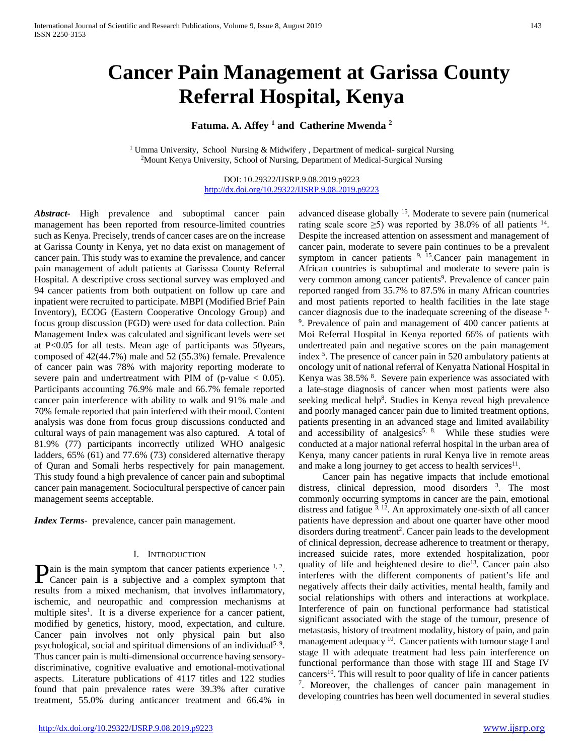# **Cancer Pain Management at Garissa County Referral Hospital, Kenya**

# **Fatuma. A. Affey 1 and Catherine Mwenda 2**

<sup>1</sup> Umma University, School Nursing & Midwifery , Department of medical- surgical Nursing <sup>2</sup>Mount Kenya University, School of Nursing, Department of Medical-Surgical Nursing

DOI: 10.29322/IJSRP.9.08.2019.p9223 <http://dx.doi.org/10.29322/IJSRP.9.08.2019.p9223>

*Abstract***-** High prevalence and suboptimal cancer pain management has been reported from resource-limited countries such as Kenya. Precisely, trends of cancer cases are on the increase at Garissa County in Kenya, yet no data exist on management of cancer pain. This study was to examine the prevalence, and cancer pain management of adult patients at Garisssa County Referral Hospital. A descriptive cross sectional survey was employed and 94 cancer patients from both outpatient on follow up care and inpatient were recruited to participate. MBPI (Modified Brief Pain Inventory), ECOG (Eastern Cooperative Oncology Group) and focus group discussion (FGD) were used for data collection. Pain Management Index was calculated and significant levels were set at P<0.05 for all tests. Mean age of participants was 50years, composed of 42(44.7%) male and 52 (55.3%) female. Prevalence of cancer pain was 78% with majority reporting moderate to severe pain and undertreatment with PIM of (p-value  $< 0.05$ ). Participants accounting 76.9% male and 66.7% female reported cancer pain interference with ability to walk and 91% male and 70% female reported that pain interfered with their mood. Content analysis was done from focus group discussions conducted and cultural ways of pain management was also captured. A total of 81.9% (77) participants incorrectly utilized WHO analgesic ladders, 65% (61) and 77.6% (73) considered alternative therapy of Quran and Somali herbs respectively for pain management. This study found a high prevalence of cancer pain and suboptimal cancer pain management. Sociocultural perspective of cancer pain management seems acceptable.

*Index Terms*- prevalence, cancer pain management.

#### I. INTRODUCTION

ain is the main symptom that cancer patients experience  $1, 2$ . **P**ain is the main symptom that cancer patients experience  $1, 2$ .<br>Cancer pain is a subjective and a complex symptom that results from a mixed mechanism, that involves inflammatory, ischemic, and neuropathic and compression mechanisms at multiple sites<sup>1</sup>. It is a diverse experience for a cancer patient, modified by genetics, history, mood, expectation, and culture. Cancer pain involves not only physical pain but also psychological, social and spiritual dimensions of an individual<sup>5, 9</sup>. Thus cancer pain is multi-dimensional occurrence having sensorydiscriminative, cognitive evaluative and emotional-motivational aspects. Literature publications of 4117 titles and 122 studies found that pain prevalence rates were 39.3% after curative treatment, 55.0% during anticancer treatment and 66.4% in

advanced disease globally 15. Moderate to severe pain (numerical rating scale score  $\geq$ 5) was reported by 38.0% of all patients <sup>14</sup>. Despite the increased attention on assessment and management of cancer pain, moderate to severe pain continues to be a prevalent symptom in cancer patients  $9, 15$ . Cancer pain management in African countries is suboptimal and moderate to severe pain is very common among cancer patients<sup>9</sup>. Prevalence of cancer pain reported ranged from 35.7% to 87.5% in many African countries and most patients reported to health facilities in the late stage cancer diagnosis due to the inadequate screening of the disease  $8$ , 9 . Prevalence of pain and management of 400 cancer patients at Moi Referral Hospital in Kenya reported 66% of patients with undertreated pain and negative scores on the pain management index 5 . The presence of cancer pain in 520 ambulatory patients at oncology unit of national referral of Kenyatta National Hospital in Kenya was 38.5% <sup>8</sup>. Severe pain experience was associated with a late-stage diagnosis of cancer when most patients were also seeking medical help<sup>8</sup>. Studies in Kenya reveal high prevalence and poorly managed cancer pain due to limited treatment options, patients presenting in an advanced stage and limited availability and accessibility of analgesics<sup>5, 8.</sup> While these studies were conducted at a major national referral hospital in the urban area of Kenya, many cancer patients in rural Kenya live in remote areas and make a long journey to get access to health services $11$ .

 Cancer pain has negative impacts that include emotional distress, clinical depression, mood disorders <sup>3</sup>. The most commonly occurring symptoms in cancer are the pain, emotional distress and fatigue  $3, 12$ . An approximately one-sixth of all cancer patients have depression and about one quarter have other mood disorders during treatment<sup>2</sup>. Cancer pain leads to the development of clinical depression, decrease adherence to treatment or therapy, increased suicide rates, more extended hospitalization, poor quality of life and heightened desire to die<sup>13</sup>. Cancer pain also interferes with the different components of patient's life and negatively affects their daily activities, mental health, family and social relationships with others and interactions at workplace. Interference of pain on functional performance had statistical significant associated with the stage of the tumour, presence of metastasis, history of treatment modality, history of pain, and pain management adequacy  $10$ . Cancer patients with tumour stage I and stage II with adequate treatment had less pain interference on functional performance than those with stage III and Stage IV cancers<sup>10</sup>. This will result to poor quality of life in cancer patients <sup>7</sup>. Moreover, the challenges of cancer pain management in developing countries has been well documented in several studies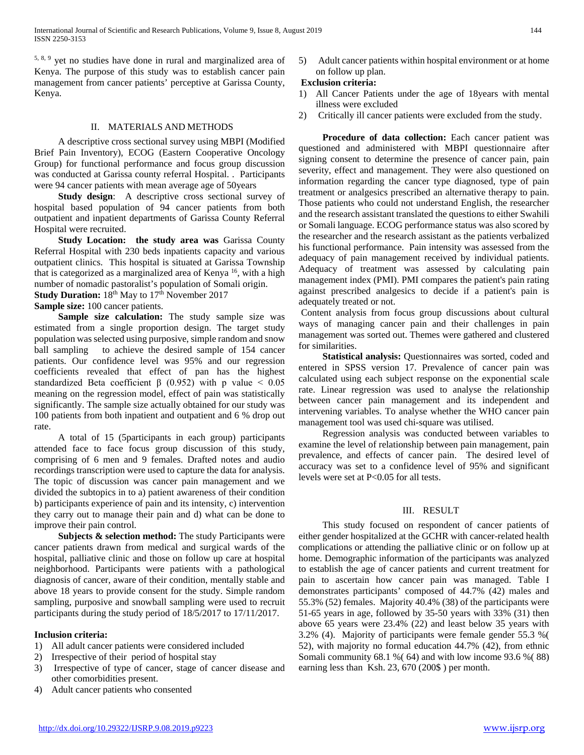5, 8, 9 yet no studies have done in rural and marginalized area of Kenya. The purpose of this study was to establish cancer pain management from cancer patients' perceptive at Garissa County, Kenya.

## II. MATERIALS AND METHODS

 A descriptive cross sectional survey using MBPI (Modified Brief Pain Inventory), ECOG (Eastern Cooperative Oncology Group) for functional performance and focus group discussion was conducted at Garissa county referral Hospital. . Participants were 94 cancer patients with mean average age of 50years

 **Study design**: A descriptive cross sectional survey of hospital based population of 94 cancer patients from both outpatient and inpatient departments of Garissa County Referral Hospital were recruited.

**Study Location: the study area was Garissa County** Referral Hospital with 230 beds inpatients capacity and various outpatient clinics. This hospital is situated at Garissa Township that is categorized as a marginalized area of Kenya  $16$ , with a high number of nomadic pastoralist's population of Somali origin. **Study Duration:** 18<sup>th</sup> May to 17<sup>th</sup> November 2017

**Sample size:** 100 cancer patients.

 **Sample size calculation:** The study sample size was estimated from a single proportion design. The target study population was selected using purposive, simple random and snow ball sampling to achieve the desired sample of 154 cancer patients. Our confidence level was 95% and our regression coefficients revealed that effect of pan has the highest standardized Beta coefficient  $\beta$  (0.952) with p value < 0.05 meaning on the regression model, effect of pain was statistically significantly. The sample size actually obtained for our study was 100 patients from both inpatient and outpatient and 6 % drop out rate.

 A total of 15 (5participants in each group) participants attended face to face focus group discussion of this study, comprising of 6 men and 9 females. Drafted notes and audio recordings transcription were used to capture the data for analysis. The topic of discussion was cancer pain management and we divided the subtopics in to a) patient awareness of their condition b) participants experience of pain and its intensity, c) intervention they carry out to manage their pain and d) what can be done to improve their pain control.

 **Subjects & selection method:** The study Participants were cancer patients drawn from medical and surgical wards of the hospital, palliative clinic and those on follow up care at hospital neighborhood. Participants were patients with a pathological diagnosis of cancer, aware of their condition, mentally stable and above 18 years to provide consent for the study. Simple random sampling, purposive and snowball sampling were used to recruit participants during the study period of 18/5/2017 to 17/11/2017.

## **Inclusion criteria:**

- 1) All adult cancer patients were considered included
- 2) Irrespective of their period of hospital stay
- 3) Irrespective of type of cancer, stage of cancer disease and other comorbidities present.
- 4) Adult cancer patients who consented

5) Adult cancer patients within hospital environment or at home on follow up plan.

# **Exclusion criteria:**

- 1) All Cancer Patients under the age of 18years with mental illness were excluded
- 2) Critically ill cancer patients were excluded from the study.

 **Procedure of data collection:** Each cancer patient was questioned and administered with MBPI questionnaire after signing consent to determine the presence of cancer pain, pain severity, effect and management. They were also questioned on information regarding the cancer type diagnosed, type of pain treatment or analgesics prescribed an alternative therapy to pain. Those patients who could not understand English, the researcher and the research assistant translated the questions to either Swahili or Somali language. ECOG performance status was also scored by the researcher and the research assistant as the patients verbalized his functional performance. Pain intensity was assessed from the adequacy of pain management received by individual patients. Adequacy of treatment was assessed by calculating pain management index (PMI). PMI compares the patient's pain rating against prescribed analgesics to decide if a patient's pain is adequately treated or not.

Content analysis from focus group discussions about cultural ways of managing cancer pain and their challenges in pain management was sorted out. Themes were gathered and clustered for similarities.

 **Statistical analysis:** Questionnaires was sorted, coded and entered in SPSS version 17. Prevalence of cancer pain was calculated using each subject response on the exponential scale rate. Linear regression was used to analyse the relationship between cancer pain management and its independent and intervening variables. To analyse whether the WHO cancer pain management tool was used chi-square was utilised.

 Regression analysis was conducted between variables to examine the level of relationship between pain management, pain prevalence, and effects of cancer pain. The desired level of accuracy was set to a confidence level of 95% and significant levels were set at P<0.05 for all tests.

# III. RESULT

 This study focused on respondent of cancer patients of either gender hospitalized at the GCHR with cancer-related health complications or attending the palliative clinic or on follow up at home. Demographic information of the participants was analyzed to establish the age of cancer patients and current treatment for pain to ascertain how cancer pain was managed. Table I demonstrates participants' composed of 44.7% (42) males and 55.3% (52) females. Majority 40.4% (38) of the participants were 51-65 years in age, followed by 35-50 years with 33% (31) then above 65 years were 23.4% (22) and least below 35 years with 3.2% (4). Majority of participants were female gender 55.3 %( 52), with majority no formal education 44.7% (42), from ethnic Somali community 68.1 %( 64) and with low income 93.6 %( 88) earning less than Ksh. 23, 670 (200\$ ) per month.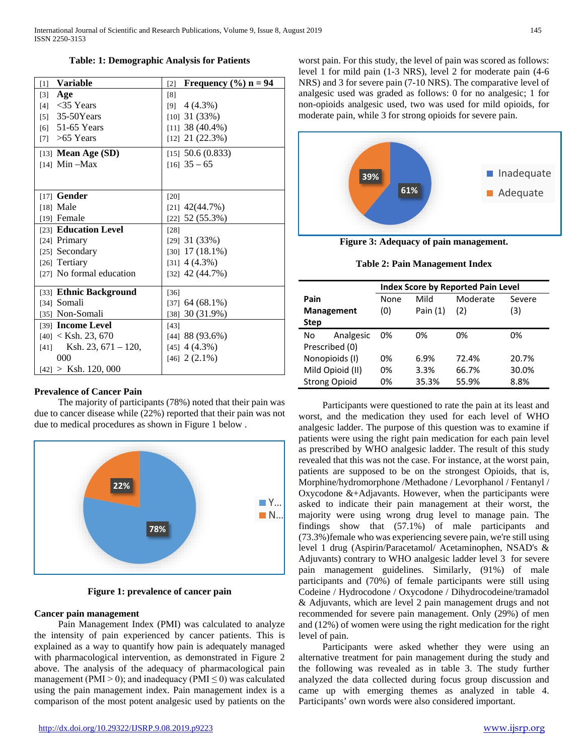**Table: 1: Demographic Analysis for Patients**

| <b>Variable</b><br>[1]     | Frequency $(\% )$ n = 94<br>$\lceil 2 \rceil$ |
|----------------------------|-----------------------------------------------|
| Age<br>$\lceil 3 \rceil$   | [8]                                           |
| $[4]$ < 35 Years           | $[9]$ 4 (4.3%)                                |
| [5] $35-50Years$           | $[10]$ 31 (33%)                               |
| $[6]$ 51-65 Years          | $[11]$ 38 (40.4%)                             |
| [7] $>65$ Years            | $[12]$ 21 $(22.3%)$                           |
| [13] Mean Age $(SD)$       | $[15]$ 50.6 (0.833)                           |
| $[14]$ Min -Max            | $[16]$ 35 - 65                                |
|                            |                                               |
| $[17]$ Gender              | [20]                                          |
| $[18]$ Male                | $[21]$ 42(44.7%)                              |
| [19] Female                | $[22]$ 52 (55.3%)                             |
| [23] Education Level       | [28]                                          |
| [24] Primary               | $[29]$ 31 (33%)                               |
| [25] Secondary             | $[30]$ 17 (18.1%)                             |
| [26] Tertiary              | $[31]$ 4 (4.3%)                               |
| [27] No formal education   | $[32]$ 42 (44.7%)                             |
| [33] Ethnic Background     | [36]                                          |
| [34] Somali                | $[37]$ 64 (68.1%)                             |
| [35] Non-Somali            | [38] $30(31.9%)$                              |
| [39] <b>Income Level</b>   | $[43]$                                        |
| $[40] <$ Ksh. 23, 670      | $[44]$ 88 (93.6%)                             |
| $[41]$ Ksh. 23, 671 – 120, | $[45]$ 4 (4.3%)                               |
| 000                        | $[46]$ 2 $(2.1\%)$                            |
| $[42] >$ Ksh. 120, 000     |                                               |

#### **Prevalence of Cancer Pain**

 The majority of participants (78%) noted that their pain was due to cancer disease while (22%) reported that their pain was not due to medical procedures as shown in Figure 1 below .



**Figure 1: prevalence of cancer pain**

## **Cancer pain management**

 Pain Management Index (PMI) was calculated to analyze the intensity of pain experienced by cancer patients. This is explained as a way to quantify how pain is adequately managed with pharmacological intervention, as demonstrated in Figure 2 above. The analysis of the adequacy of pharmacological pain management (PMI > 0); and inadequacy (PMI  $\leq$  0) was calculated using the pain management index. Pain management index is a comparison of the most potent analgesic used by patients on the worst pain. For this study, the level of pain was scored as follows: level 1 for mild pain (1-3 NRS), level 2 for moderate pain (4-6 NRS) and 3 for severe pain (7-10 NRS). The comparative level of analgesic used was graded as follows: 0 for no analgesic; 1 for non-opioids analgesic used, two was used for mild opioids, for moderate pain, while 3 for strong opioids for severe pain.



**Figure 3: Adequacy of pain management.**

|  |  |  | Table 2: Pain Management Index |  |
|--|--|--|--------------------------------|--|
|--|--|--|--------------------------------|--|

|                      |                   | <b>Index Score by Reported Pain Level</b> |            |          |        |  |  |  |  |
|----------------------|-------------------|-------------------------------------------|------------|----------|--------|--|--|--|--|
| Pain                 |                   | None                                      | Mild       | Moderate | Severe |  |  |  |  |
|                      | <b>Management</b> | (0)                                       | Pain $(1)$ | (2)      | (3)    |  |  |  |  |
| <b>Step</b>          |                   |                                           |            |          |        |  |  |  |  |
| No                   | Analgesic         | 0%                                        | 0%         | 0%       | 0%     |  |  |  |  |
|                      | Prescribed (0)    |                                           |            |          |        |  |  |  |  |
| Nonopioids (I)       |                   | 0%                                        | 6.9%       | 72.4%    | 20.7%  |  |  |  |  |
| Mild Opioid (II)     |                   | 0%                                        | 3.3%       | 66.7%    | 30.0%  |  |  |  |  |
| <b>Strong Opioid</b> |                   | 0%                                        | 35.3%      | 55.9%    | 8.8%   |  |  |  |  |

 Participants were questioned to rate the pain at its least and worst, and the medication they used for each level of WHO analgesic ladder. The purpose of this question was to examine if patients were using the right pain medication for each pain level as prescribed by WHO analgesic ladder. The result of this study revealed that this was not the case. For instance, at the worst pain, patients are supposed to be on the strongest Opioids, that is, Morphine/hydromorphone /Methadone / Levorphanol / Fentanyl / Oxycodone &+Adjavants. However, when the participants were asked to indicate their pain management at their worst, the majority were using wrong drug level to manage pain. The findings show that (57.1%) of male participants and (73.3%)female who was experiencing severe pain, we're still using level 1 drug (Aspirin/Paracetamol/ Acetaminophen, NSAD's & Adjuvants) contrary to WHO analgesic ladder level 3 for severe pain management guidelines. Similarly, (91%) of male participants and (70%) of female participants were still using Codeine / Hydrocodone / Oxycodone / Dihydrocodeine/tramadol & Adjuvants, which are level 2 pain management drugs and not recommended for severe pain management. Only (29%) of men and (12%) of women were using the right medication for the right level of pain.

 Participants were asked whether they were using an alternative treatment for pain management during the study and the following was revealed as in table 3. The study further analyzed the data collected during focus group discussion and came up with emerging themes as analyzed in table 4. Participants' own words were also considered important.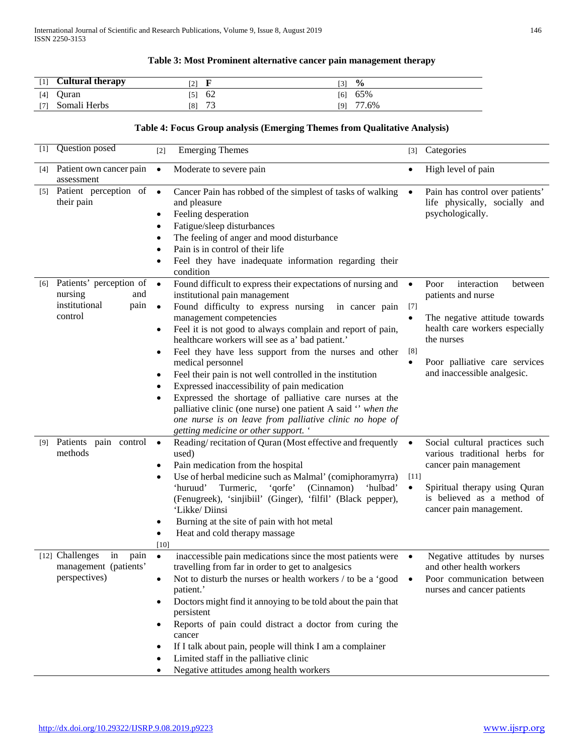# **Table 3: Most Prominent alternative cancer pain management therapy**

| $\lceil 1 \rceil$ | <b>Cultural therapy</b> | [2] |                      | [3] | $\frac{0}{0}$ |
|-------------------|-------------------------|-----|----------------------|-----|---------------|
| [4]               | Ouran                   | [5] | 62                   | [6] | 65%           |
| 171               | Somali Herbs            | [8] | $\mathcal{L}$<br>ر ، | [9] | 77.6%         |

# **Table 4: Focus Group analysis (Emerging Themes from Qualitative Analysis)**

| [1]              | Question posed                                                                | $[2]$                                    | <b>Emerging Themes</b>                                                                                                                                                                                                                                                                                                                                                                                                                                                                            | $[3]$                                  | Categories                                                                                                                                                                          |
|------------------|-------------------------------------------------------------------------------|------------------------------------------|---------------------------------------------------------------------------------------------------------------------------------------------------------------------------------------------------------------------------------------------------------------------------------------------------------------------------------------------------------------------------------------------------------------------------------------------------------------------------------------------------|----------------------------------------|-------------------------------------------------------------------------------------------------------------------------------------------------------------------------------------|
|                  |                                                                               |                                          |                                                                                                                                                                                                                                                                                                                                                                                                                                                                                                   |                                        |                                                                                                                                                                                     |
| [4]              | Patient own cancer pain<br>assessment                                         | $\bullet$                                | Moderate to severe pain                                                                                                                                                                                                                                                                                                                                                                                                                                                                           | $\bullet$                              | High level of pain                                                                                                                                                                  |
| $\left[5\right]$ | Patient perception of •<br>their pain                                         | ٠                                        | Cancer Pain has robbed of the simplest of tasks of walking<br>and pleasure<br>Feeling desperation<br>Fatigue/sleep disturbances<br>The feeling of anger and mood disturbance<br>Pain is in control of their life<br>Feel they have inadequate information regarding their<br>condition                                                                                                                                                                                                            | $\bullet$                              | Pain has control over patients'<br>life physically, socially and<br>psychologically.                                                                                                |
| [6]              | Patients' perception of<br>nursing<br>and<br>institutional<br>pain<br>control | $\bullet$<br>$\bullet$<br>٠              | Found difficult to express their expectations of nursing and<br>institutional pain management<br>Found difficulty to express nursing<br>in cancer pain<br>management competencies<br>Feel it is not good to always complain and report of pain,<br>healthcare workers will see as a' bad patient.'<br>Feel they have less support from the nurses and other                                                                                                                                       | $\bullet$<br>$[7]$<br>$\bullet$<br>[8] | Poor<br>interaction<br>between<br>patients and nurse<br>The negative attitude towards<br>health care workers especially<br>the nurses                                               |
|                  |                                                                               |                                          | medical personnel<br>Feel their pain is not well controlled in the institution<br>Expressed inaccessibility of pain medication<br>Expressed the shortage of palliative care nurses at the<br>palliative clinic (one nurse) one patient A said " when the<br>one nurse is on leave from palliative clinic no hope of<br>getting medicine or other support. '                                                                                                                                       |                                        | Poor palliative care services<br>and inaccessible analgesic.                                                                                                                        |
| [9]              | Patients pain control<br>methods                                              | $\bullet$<br>٠<br>٠<br>٠<br>[10]         | Reading/recitation of Quran (Most effective and frequently<br>used)<br>Pain medication from the hospital<br>Use of herbal medicine such as Malmal' (comiphoramyrra)<br>Turmeric,<br>'qorfe'<br>(Cinnamon)<br>'huruud'<br>'hulbad'<br>(Fenugreek), 'sinjibiil' (Ginger), 'filfil' (Black pepper),<br>'Likke/Diinsi<br>Burning at the site of pain with hot metal<br>Heat and cold therapy massage                                                                                                  | $\bullet$<br>$[11]$<br>$\bullet$       | Social cultural practices such<br>various traditional herbs for<br>cancer pain management<br>Spiritual therapy using Quran<br>is believed as a method of<br>cancer pain management. |
|                  | [12] Challenges<br>in<br>pain<br>management (patients'<br>perspectives)       | $\bullet$<br>٠<br>$\bullet$<br>$\bullet$ | inaccessible pain medications since the most patients were<br>travelling from far in order to get to analgesics<br>Not to disturb the nurses or health workers / to be a 'good<br>patient.'<br>Doctors might find it annoying to be told about the pain that<br>persistent<br>Reports of pain could distract a doctor from curing the<br>cancer<br>If I talk about pain, people will think I am a complainer<br>Limited staff in the palliative clinic<br>Negative attitudes among health workers | $\bullet$<br>$\bullet$                 | Negative attitudes by nurses<br>and other health workers<br>Poor communication between<br>nurses and cancer patients                                                                |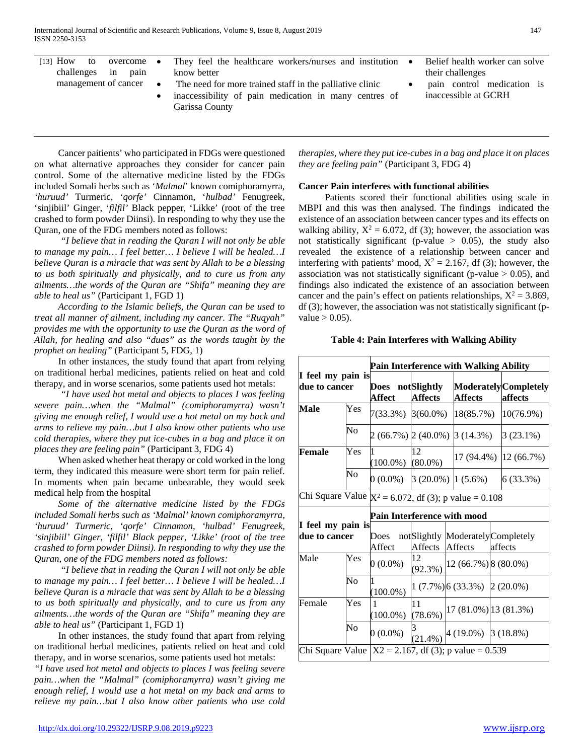| $[13]$ How<br>$overcome \bullet$<br>to |                     | They feel the healthcare workers/nurses and institution $\bullet$ | Belief health worker can solve |
|----------------------------------------|---------------------|-------------------------------------------------------------------|--------------------------------|
| challenges in pain                     |                     | know better                                                       | their challenges               |
| management of cancer                   | $\bullet$ $\bullet$ | The need for more trained staff in the palliative clinic          | pain control medication is     |
|                                        |                     | inaccessibility of pain medication in many centres of             | inaccessible at GCRH           |
|                                        |                     | Garissa County                                                    |                                |

 Cancer paitients' who participated in FDGs were questioned on what alternative approaches they consider for cancer pain control. Some of the alternative medicine listed by the FDGs included Somali herbs such as '*Malmal*' known comiphoramyrra, *'huruud'* Turmeric, '*qorfe'* Cinnamon, '*hulbad'* Fenugreek, 'sinjibiil' Ginger, '*filfil'* Black pepper, 'Likke' (root of the tree crashed to form powder Diinsi). In responding to why they use the Quran, one of the FDG members noted as follows:

 *"I believe that in reading the Quran I will not only be able to manage my pain… I feel better… I believe I will be healed…I believe Quran is a miracle that was sent by Allah to be a blessing to us both spiritually and physically, and to cure us from any ailments…the words of the Quran are "Shifa" meaning they are able to heal us"* (Participant 1, FGD 1)

 *According to the Islamic beliefs, the Quran can be used to treat all manner of ailment, including my cancer. The "Ruqyah" provides me with the opportunity to use the Quran as the word of Allah, for healing and also "duas" as the words taught by the prophet on healing"* (Participant 5, FDG, 1)

 In other instances, the study found that apart from relying on traditional herbal medicines, patients relied on heat and cold therapy, and in worse scenarios, some patients used hot metals:

 *"I have used hot metal and objects to places I was feeling severe pain…when the "Malmal" (comiphoramyrra) wasn't giving me enough relief, I would use a hot metal on my back and arms to relieve my pain…but I also know other patients who use cold therapies, where they put ice-cubes in a bag and place it on places they are feeling pain"* (Participant 3, FDG 4)

 When asked whether heat therapy or cold worked in the long term, they indicated this measure were short term for pain relief. In moments when pain became unbearable, they would seek medical help from the hospital

 *Some of the alternative medicine listed by the FDGs included Somali herbs such as 'Malmal' known comiphoramyrra, 'huruud' Turmeric, 'qorfe' Cinnamon, 'hulbad' Fenugreek, 'sinjibiil' Ginger, 'filfil' Black pepper, 'Likke' (root of the tree crashed to form powder Diinsi). In responding to why they use the Quran, one of the FDG members noted as follows:*

 *"I believe that in reading the Quran I will not only be able to manage my pain… I feel better… I believe I will be healed…I believe Quran is a miracle that was sent by Allah to be a blessing to us both spiritually and physically, and to cure us from any ailments…the words of the Quran are "Shifa" meaning they are able to heal us"* (Participant 1, FGD 1)

 In other instances, the study found that apart from relying on traditional herbal medicines, patients relied on heat and cold therapy, and in worse scenarios, some patients used hot metals:

*"I have used hot metal and objects to places I was feeling severe pain…when the "Malmal" (comiphoramyrra) wasn't giving me enough relief, I would use a hot metal on my back and arms to relieve my pain…but I also know other patients who use cold*  *therapies, where they put ice-cubes in a bag and place it on places they are feeling pain"* (Participant 3, FDG 4)

## **Cancer Pain interferes with functional abilities**

 Patients scored their functional abilities using scale in MBPI and this was then analysed. The findings indicated the existence of an association between cancer types and its effects on walking ability,  $X^2 = 6.072$ , df (3); however, the association was not statistically significant (p-value  $> 0.05$ ), the study also revealed the existence of a relationship between cancer and interfering with patients' mood,  $X^2 = 2.167$ , df (3); however, the association was not statistically significant (p-value  $> 0.05$ ), and findings also indicated the existence of an association between cancer and the pain's effect on patients relationships,  $X^2 = 3.869$ , df (3); however, the association was not statistically significant (pvalue  $> 0.05$ ).

|                                    | <b>Pain Interference with Walking Ability</b> |                             |                                                          |                                                          |                                             |  |  |  |
|------------------------------------|-----------------------------------------------|-----------------------------|----------------------------------------------------------|----------------------------------------------------------|---------------------------------------------|--|--|--|
| I feel my pain is<br>due to cancer |                                               | Does notSlightly<br>Affect  | <b>Affects</b>                                           | <b>Affects</b>                                           | <b>Moderately</b> Completely<br>affects     |  |  |  |
| Male                               | Yes                                           |                             |                                                          | 7(33.3%) 3(60.0%) [18(85.7%)                             | 10(76.9%)                                   |  |  |  |
|                                    | No                                            |                             |                                                          | 2 (66.7%) 2 (40.0%) 3 (14.3%)                            | $3(23.1\%)$                                 |  |  |  |
| Female                             | Yes                                           | 1<br>$(100.0\%)$ $(80.0\%)$ | 12                                                       |                                                          | 17 (94.4%) 12 (66.7%)                       |  |  |  |
|                                    | $\overline{\text{No}}$                        | $0(0.0\%)$                  |                                                          | $3(20.0\%)$ $(1(5.6\%)$                                  | 6 (33.3%)                                   |  |  |  |
|                                    |                                               |                             | Chi Square Value $X^2 = 6.072$ , df (3); p value = 0.108 |                                                          |                                             |  |  |  |
| I feel my pain is                  |                                               |                             |                                                          | Pain Interference with mood                              |                                             |  |  |  |
| due to cancer                      |                                               | <b>Does</b><br>Affect       | Affects                                                  | Affects                                                  | notSlightly ModeratelyCompletely<br>affects |  |  |  |
| Male                               | Yes                                           | $0(0.0\%)$                  | 12<br>$(92.3\%)$                                         | 12 (66.7%) 8 (80.0%)                                     |                                             |  |  |  |
|                                    | Nο                                            |                             |                                                          | $1(7.7\%)$ 6 (33.3%) 2 (20.0%)                           |                                             |  |  |  |
| Female                             | Yes                                           | 1<br>$(100.0\%)$            | 11<br>$(78.6\%)$                                         |                                                          | 17 (81.0%) 13 (81.3%)                       |  |  |  |
|                                    | No                                            | $0(0.0\%)$                  |                                                          | $(21.4\%)$ 4 (19.0%) 3 (18.8%)                           |                                             |  |  |  |
|                                    |                                               |                             |                                                          | Chi Square Value $ X2 = 2.167$ , df (3); p value = 0.539 |                                             |  |  |  |

## **Table 4: Pain Interferes with Walking Ability**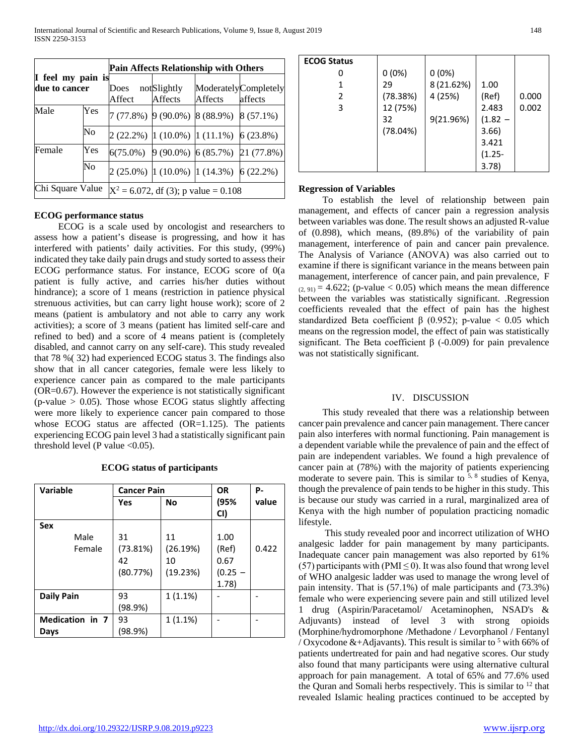|                   |     | <b>Pain Affects Relationship with Others</b> |                |                                           |                                            |  |  |  |
|-------------------|-----|----------------------------------------------|----------------|-------------------------------------------|--------------------------------------------|--|--|--|
| I feel my pain is |     |                                              |                |                                           |                                            |  |  |  |
| due to cancer     |     | Does not Slightly                            |                |                                           | ModeratelyCompletely                       |  |  |  |
|                   |     | Affect                                       | <b>Affects</b> | Affects                                   | affects                                    |  |  |  |
| Male              | Yes |                                              |                | $7(77.8\%)$ 9(90.0%) 8(88.9%) 8(57.1%)    |                                            |  |  |  |
|                   | No  |                                              |                | $2(22.2\%)$ 1 (10.0%) 1 (11.1%) 6 (23.8%) |                                            |  |  |  |
| Female            | Yes |                                              |                |                                           | $6(75.0\%)$ 9 (90.0%) 6 (85.7%) 21 (77.8%) |  |  |  |
|                   | No  |                                              |                | $2(25.0\%)$ 1 (10.0%) 1 (14.3%) 6 (22.2%) |                                            |  |  |  |
| Chi Square Value  |     | $X^2$ = 6.072, df (3); p value = 0.108       |                |                                           |                                            |  |  |  |

## **ECOG performance status**

 ECOG is a scale used by oncologist and researchers to assess how a patient's disease is progressing, and how it has interfered with patients' daily activities. For this study, (99%) indicated they take daily pain drugs and study sorted to assess their ECOG performance status. For instance, ECOG score of 0(a patient is fully active, and carries his/her duties without hindrance); a score of 1 means (restriction in patience physical strenuous activities, but can carry light house work); score of 2 means (patient is ambulatory and not able to carry any work activities); a score of 3 means (patient has limited self-care and refined to bed) and a score of 4 means patient is (completely disabled, and cannot carry on any self-care). This study revealed that 78 %( 32) had experienced ECOG status 3. The findings also show that in all cancer categories, female were less likely to experience cancer pain as compared to the male participants (OR=0.67). However the experience is not statistically significant (p-value  $> 0.05$ ). Those whose ECOG status slightly affecting were more likely to experience cancer pain compared to those whose ECOG status are affected (OR=1.125). The patients experiencing ECOG pain level 3 had a statistically significant pain threshold level (P value  $<0.05$ ).

| Variable          | <b>Cancer Pain</b> |            | <b>OR</b>   | Р-    |
|-------------------|--------------------|------------|-------------|-------|
|                   | Yes                | No         | (95%<br>CI) | value |
| Sex               |                    |            |             |       |
| Male              | 31                 | 11         | 1.00        |       |
| Female            | (73.81%)           | (26.19%)   | (Ref)       | 0.422 |
|                   | 42                 | 10         | 0.67        |       |
|                   | (80.77%)           | (19.23%)   | $(0.25 -$   |       |
|                   |                    |            | 1.78)       |       |
| <b>Daily Pain</b> | 93                 | 1(1.1%)    |             |       |
|                   | (98.9%)            |            |             |       |
| Medication in 7   | 93                 | $1(1.1\%)$ |             |       |
| Days              | (98.9%)            |            |             |       |

#### **ECOG status of participants**

| <b>ECOG Status</b> |          |            |           |       |
|--------------------|----------|------------|-----------|-------|
|                    | $0(0\%)$ | $0(0\%)$   |           |       |
|                    | 29       | 8 (21.62%) | 1.00      |       |
| 2                  | (78.38%) | 4 (25%)    | (Ref)     | 0.000 |
| 3                  | 12 (75%) |            | 2.483     | 0.002 |
|                    | 32       | 9(21.96%)  | $(1.82 -$ |       |
|                    | (78.04%) |            | 3.66)     |       |
|                    |          |            | 3.421     |       |
|                    |          |            | $(1.25 -$ |       |
|                    |          |            | 3.78      |       |

#### **Regression of Variables**

 To establish the level of relationship between pain management, and effects of cancer pain a regression analysis between variables was done. The result shows an adjusted R-value of (0.898), which means, (89.8%) of the variability of pain management, interference of pain and cancer pain prevalence. The Analysis of Variance (ANOVA) was also carried out to examine if there is significant variance in the means between pain management, interference of cancer pain, and pain prevalence, F  $(2, 91) = 4.622$ ; (p-value < 0.05) which means the mean difference between the variables was statistically significant. .Regression coefficients revealed that the effect of pain has the highest standardized Beta coefficient  $\beta$  (0.952); p-value < 0.05 which means on the regression model, the effect of pain was statistically significant. The Beta coefficient  $\beta$  (-0.009) for pain prevalence was not statistically significant.

#### IV. DISCUSSION

 This study revealed that there was a relationship between cancer pain prevalence and cancer pain management. There cancer pain also interferes with normal functioning. Pain management is a dependent variable while the prevalence of pain and the effect of pain are independent variables. We found a high prevalence of cancer pain at (78%) with the majority of patients experiencing moderate to severe pain. This is similar to  $5, 8$  studies of Kenya, though the prevalence of pain tends to be higher in this study. This is because our study was carried in a rural, marginalized area of Kenya with the high number of population practicing nomadic lifestyle.

 This study revealed poor and incorrect utilization of WHO analgesic ladder for pain management by many participants. Inadequate cancer pain management was also reported by 61% (57) participants with (PMI  $\leq$  0). It was also found that wrong level of WHO analgesic ladder was used to manage the wrong level of pain intensity. That is (57.1%) of male participants and (73.3%) female who were experiencing severe pain and still utilized level 1 drug (Aspirin/Paracetamol/ Acetaminophen, NSAD's & Adjuvants) instead of level 3 with strong opioids (Morphine/hydromorphone /Methadone / Levorphanol / Fentanyl / Oxycodone &+Adjavants). This result is similar to  $5$  with 66% of patients undertreated for pain and had negative scores. Our study also found that many participants were using alternative cultural approach for pain management. A total of 65% and 77.6% used the Quran and Somali herbs respectively. This is similar to  $12$  that revealed Islamic healing practices continued to be accepted by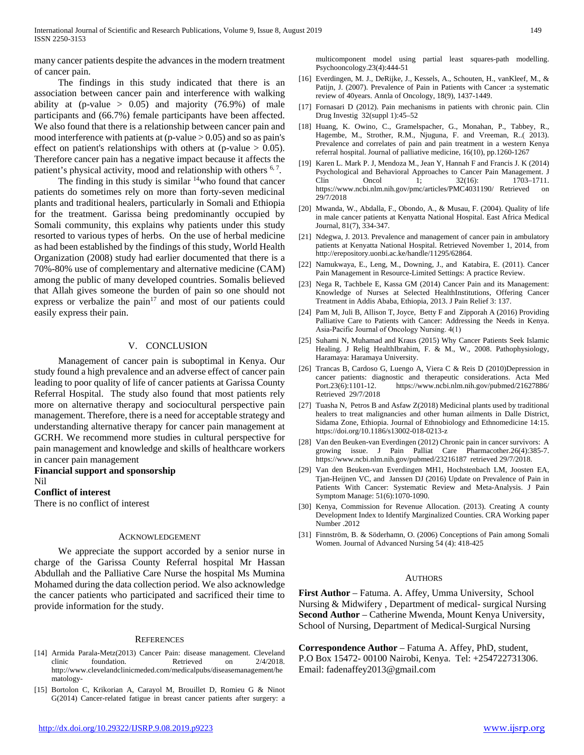many cancer patients despite the advances in the modern treatment of cancer pain.

 The findings in this study indicated that there is an association between cancer pain and interference with walking ability at (p-value  $> 0.05$ ) and majority (76.9%) of male participants and (66.7%) female participants have been affected. We also found that there is a relationship between cancer pain and mood interference with patients at (p-value  $> 0.05$ ) and so as pain's effect on patient's relationships with others at (p-value  $> 0.05$ ). Therefore cancer pain has a negative impact because it affects the patient's physical activity, mood and relationship with others <sup>6, 7</sup>.

The finding in this study is similar  $14$ who found that cancer patients do sometimes rely on more than forty-seven medicinal plants and traditional healers, particularly in Somali and Ethiopia for the treatment. Garissa being predominantly occupied by Somali community, this explains why patients under this study resorted to various types of herbs. On the use of herbal medicine as had been established by the findings of this study, World Health Organization (2008) study had earlier documented that there is a 70%-80% use of complementary and alternative medicine (CAM) among the public of many developed countries. Somalis believed that Allah gives someone the burden of pain so one should not express or verbalize the pain $17$  and most of our patients could easily express their pain.

# V. CONCLUSION

 Management of cancer pain is suboptimal in Kenya. Our study found a high prevalence and an adverse effect of cancer pain leading to poor quality of life of cancer patients at Garissa County Referral Hospital. The study also found that most patients rely more on alternative therapy and sociocultural perspective pain management. Therefore, there is a need for acceptable strategy and understanding alternative therapy for cancer pain management at GCRH. We recommend more studies in cultural perspective for pain management and knowledge and skills of healthcare workers in cancer pain management

**Financial support and sponsorship**  Nil **Conflict of interest** 

There is no conflict of interest

#### ACKNOWLEDGEMENT

 We appreciate the support accorded by a senior nurse in charge of the Garissa County Referral hospital Mr Hassan Abdullah and the Palliative Care Nurse the hospital Ms Mumina Mohamed during the data collection period. We also acknowledge the cancer patients who participated and sacrificed their time to provide information for the study.

#### **REFERENCES**

- [14] Armida Parala-Metz(2013) Cancer Pain: disease management. Cleveland clinic foundation. Retrieved on 2/4/2018. http://www.clevelandclinicmeded.com/medicalpubs/diseasemanagement/he matology-
- [15] Bortolon C, Krikorian A, Carayol M, Brouillet D, Romieu G & Ninot G(2014) Cancer-related fatigue in breast cancer patients after surgery: a

multicomponent model using partial least squares-path modelling. Psychooncology.23(4):444-51

- [16] Everdingen, M. J., DeRijke, J., Kessels, A., Schouten, H., vanKleef, M., & Patijn, J. (2007). Prevalence of Pain in Patients with Cancer :a systematic review of 40years. Annla of Oncology, 18(9), 1437-1449.
- [17] Fornasari D (2012). Pain mechanisms in patients with chronic pain. Clin Drug Investig 32(suppl 1):45–52
- [18] Huang, K. Owino, C., Gramelspacher, G., Monahan, P., Tabbey, R., Hagembe, M., Strother, R.M., Njuguna, F. and Vreeman, R..( 2013). Prevalence and correlates of pain and pain treatment in a western Kenya referral hospital. Journal of palliative medicine, 16(10), pp.1260-1267
- [19] Karen L. Mark P. J, Mendoza M., Jean Y, Hannah F and Francis J. K (2014) Psychological and Behavioral Approaches to Cancer Pain Management. J Clin Oncol 1;  $32(16)$ :  $1703-1711$ . https://www.ncbi.nlm.nih.gov/pmc/articles/PMC4031190/ Retrieved on 29/7/2018
- [20] Mwanda, W., Abdalla, F., Obondo, A., & Musau, F. (2004). Quality of life in male cancer patients at Kenyatta National Hospital. East Africa Medical Journal, 81(7), 334-347.
- [21] Ndegwa, J. 2013. Prevalence and management of cancer pain in ambulatory patients at Kenyatta National Hospital. Retrieved November 1, 2014, from http://erepository.uonbi.ac.ke/handle/11295/62864.
- [22] Namukwaya, E., Leng, M., Downing, J., and Katabira, E. (2011). Cancer Pain Management in Resource-Limited Settings: A practice Review.
- [23] Nega R, Tachbele E, Kassa GM (2014) Cancer Pain and its Management: Knowledge of Nurses at Selected HealthInstitutions, Offering Cancer Treatment in Addis Ababa, Ethiopia, 2013. J Pain Relief 3: 137.
- [24] Pam M, Juli B, Allison T, Joyce, Betty F and Zipporah A (2016) Providing Palliative Care to Patients with Cancer: Addressing the Needs in Kenya. Asia‑Pacific Journal of Oncology Nursing. 4(1)
- [25] Suhami N, Muhamad and Kraus (2015) Why Cancer Patients Seek Islamic Healing. J Relig HealthIbrahim, F. & M., W., 2008. Pathophysiology, Haramaya: Haramaya University.
- [26] Trancas B, Cardoso G, Luengo A, Viera C & Reis D (2010)Depression in cancer patients: diagnostic and therapeutic considerations. Acta Med Port.23(6):1101-12. https://www.ncbi.nlm.nih.gov/pubmed/21627886/ Retrieved 29/7/2018
- [27] Tuasha N, Petros B and Asfaw Z(2018) Medicinal plants used by traditional healers to treat malignancies and other human ailments in Dalle District, Sidama Zone, Ethiopia. Journal of Ethnobiology and Ethnomedicine 14:15. https://doi.org/10.1186/s13002-018-0213-z
- [28] Van den Beuken-van Everdingen (2012) Chronic pain in cancer survivors: A growing issue. J Pain Palliat Care Pharmacother.26(4):385-7. https://www.ncbi.nlm.nih.gov/pubmed/23216187 retrieved 29/7/2018.
- [29] Van den Beuken-van Everdingen MH1, Hochstenbach LM, Joosten EA, Tjan-Heijnen VC, and Janssen DJ (2016) Update on Prevalence of Pain in Patients With Cancer: Systematic Review and Meta-Analysis. J Pain Symptom Manage: 51(6):1070-1090.
- [30] Kenya, Commission for Revenue Allocation. (2013). Creating A county Development Index to Identify Marginalized Counties. CRA Working paper Number .2012
- [31] Finnström, B. & Söderhamn, O. (2006) Conceptions of Pain among Somali Women. Journal of Advanced Nursing 54 (4): 418-425

#### AUTHORS

**First Author** – Fatuma. A. Affey, Umma University, School Nursing & Midwifery , Department of medical- surgical Nursing **Second Author** – Catherine Mwenda, Mount Kenya University, School of Nursing, Department of Medical-Surgical Nursing

**Correspondence Author** – Fatuma A. Affey, PhD, student, P.O Box 15472- 00100 Nairobi, Kenya. Tel: +254722731306. Email: fadenaffey2013@gmail.com